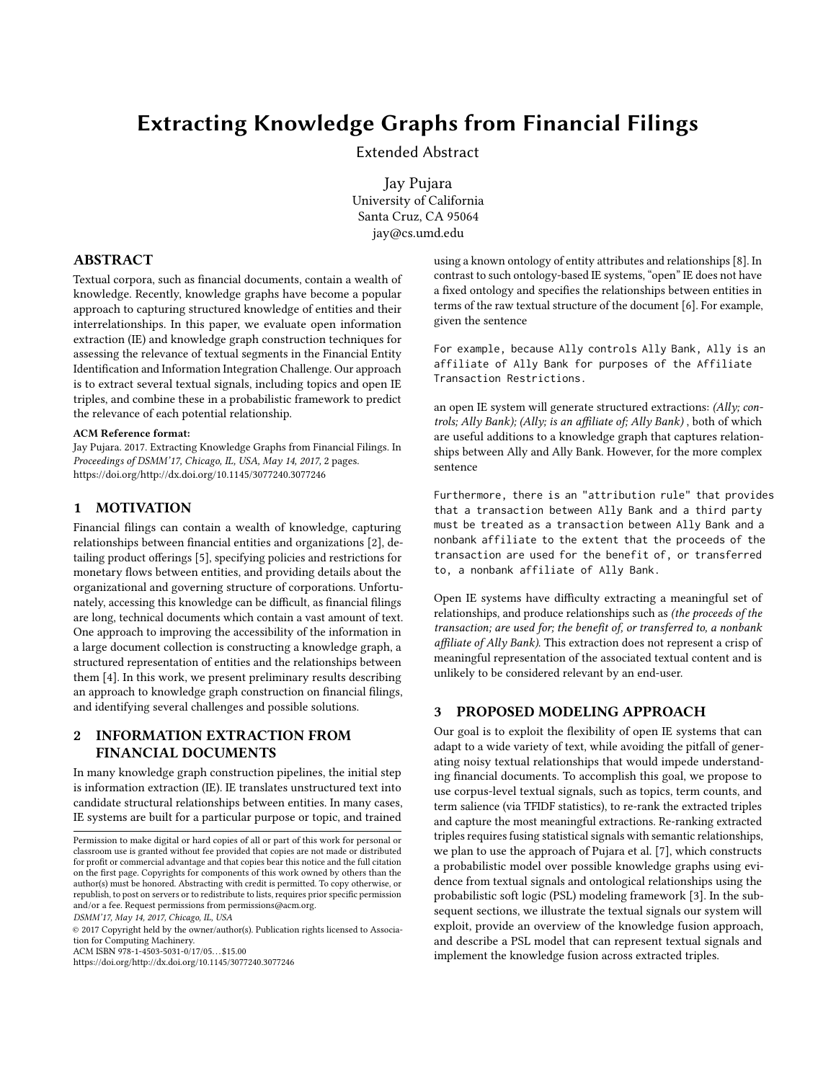# Extracting Knowledge Graphs from Financial Filings

Extended Abstract

Jay Pujara University of California Santa Cruz, CA 95064 jay@cs.umd.edu

#### ABSTRACT

Textual corpora, such as financial documents, contain a wealth of knowledge. Recently, knowledge graphs have become a popular approach to capturing structured knowledge of entities and their interrelationships. In this paper, we evaluate open information extraction (IE) and knowledge graph construction techniques for assessing the relevance of textual segments in the Financial Entity Identification and Information Integration Challenge. Our approach is to extract several textual signals, including topics and open IE triples, and combine these in a probabilistic framework to predict the relevance of each potential relationship.

#### ACM Reference format:

Jay Pujara. 2017. Extracting Knowledge Graphs from Financial Filings. In Proceedings of DSMM'17, Chicago, IL, USA, May 14, 2017, [2](#page-1-0) pages. <https://doi.org/http://dx.doi.org/10.1145/3077240.3077246>

### 1 MOTIVATION

Financial filings can contain a wealth of knowledge, capturing relationships between financial entities and organizations [\[2\]](#page-1-1), detailing product offerings [\[5\]](#page-1-2), specifying policies and restrictions for monetary flows between entities, and providing details about the organizational and governing structure of corporations. Unfortunately, accessing this knowledge can be difficult, as financial filings are long, technical documents which contain a vast amount of text. One approach to improving the accessibility of the information in a large document collection is constructing a knowledge graph, a structured representation of entities and the relationships between them [\[4\]](#page-1-3). In this work, we present preliminary results describing an approach to knowledge graph construction on financial filings, and identifying several challenges and possible solutions.

# 2 INFORMATION EXTRACTION FROM FINANCIAL DOCUMENTS

In many knowledge graph construction pipelines, the initial step is information extraction (IE). IE translates unstructured text into candidate structural relationships between entities. In many cases, IE systems are built for a particular purpose or topic, and trained

DSMM'17, May 14, 2017, Chicago, IL, USA

ACM ISBN 978-1-4503-5031-0/17/05. . . \$15.00

<https://doi.org/http://dx.doi.org/10.1145/3077240.3077246>

using a known ontology of entity attributes and relationships [\[8\]](#page-1-4). In contrast to such ontology-based IE systems, "open" IE does not have a fixed ontology and specifies the relationships between entities in terms of the raw textual structure of the document [\[6\]](#page-1-5). For example, given the sentence

For example, because Ally controls Ally Bank, Ally is an affiliate of Ally Bank for purposes of the Affiliate Transaction Restrictions.

an open IE system will generate structured extractions: (Ally; controls; Ally Bank); (Ally; is an affiliate of; Ally Bank) , both of which are useful additions to a knowledge graph that captures relationships between Ally and Ally Bank. However, for the more complex sentence

Furthermore, there is an "attribution rule" that provides that a transaction between Ally Bank and a third party must be treated as a transaction between Ally Bank and a nonbank affiliate to the extent that the proceeds of the transaction are used for the benefit of, or transferred to, a nonbank affiliate of Ally Bank.

Open IE systems have difficulty extracting a meaningful set of relationships, and produce relationships such as (the proceeds of the transaction; are used for; the benefit of, or transferred to, a nonbank affiliate of Ally Bank). This extraction does not represent a crisp of meaningful representation of the associated textual content and is unlikely to be considered relevant by an end-user.

# 3 PROPOSED MODELING APPROACH

Our goal is to exploit the flexibility of open IE systems that can adapt to a wide variety of text, while avoiding the pitfall of generating noisy textual relationships that would impede understanding financial documents. To accomplish this goal, we propose to use corpus-level textual signals, such as topics, term counts, and term salience (via TFIDF statistics), to re-rank the extracted triples and capture the most meaningful extractions. Re-ranking extracted triples requires fusing statistical signals with semantic relationships, we plan to use the approach of Pujara et al. [\[7\]](#page-1-6), which constructs a probabilistic model over possible knowledge graphs using evidence from textual signals and ontological relationships using the probabilistic soft logic (PSL) modeling framework [\[3\]](#page-1-7). In the subsequent sections, we illustrate the textual signals our system will exploit, provide an overview of the knowledge fusion approach, and describe a PSL model that can represent textual signals and implement the knowledge fusion across extracted triples.

Permission to make digital or hard copies of all or part of this work for personal or classroom use is granted without fee provided that copies are not made or distributed for profit or commercial advantage and that copies bear this notice and the full citation on the first page. Copyrights for components of this work owned by others than the author(s) must be honored. Abstracting with credit is permitted. To copy otherwise, or republish, to post on servers or to redistribute to lists, requires prior specific permission and/or a fee. Request permissions from permissions@acm.org.

<sup>©</sup> 2017 Copyright held by the owner/author(s). Publication rights licensed to Association for Computing Machinery.